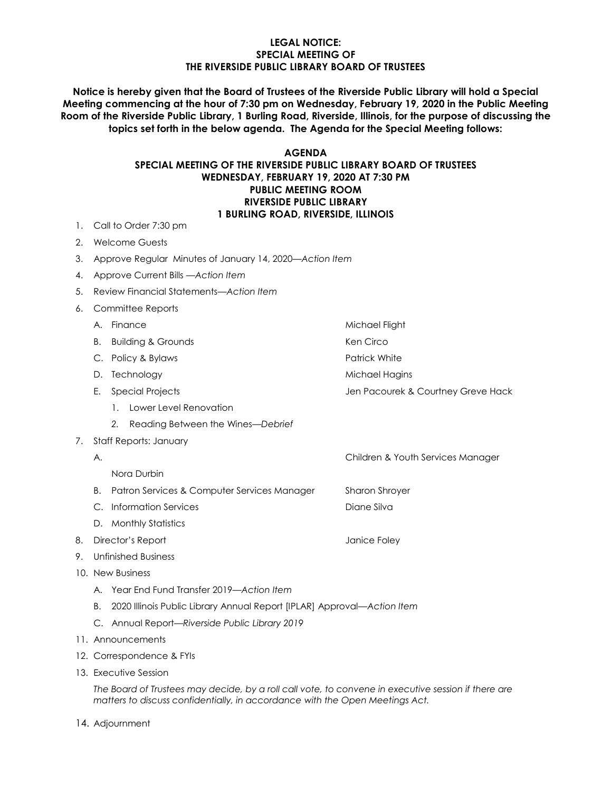#### **LEGAL NOTICE: SPECIAL MEETING OF THE RIVERSIDE PUBLIC LIBRARY BOARD OF TRUSTEES**

**Notice is hereby given that the Board of Trustees of the Riverside Public Library will hold a Special Meeting commencing at the hour of 7:30 pm on Wednesday, February 19, 2020 in the Public Meeting Room of the Riverside Public Library, 1 Burling Road, Riverside, Illinois, for the purpose of discussing the topics set forth in the below agenda. The Agenda for the Special Meeting follows:**

#### **AGENDA SPECIAL MEETING OF THE RIVERSIDE PUBLIC LIBRARY BOARD OF TRUSTEES WEDNESDAY, FEBRUARY 19, 2020 AT 7:30 PM PUBLIC MEETING ROOM RIVERSIDE PUBLIC LIBRARY 1 BURLING ROAD, RIVERSIDE, ILLINOIS**

- 1. Call to Order 7:30 pm
- 2. Welcome Guests
- 3. Approve Regular Minutes of January 14, 2020—*Action Item*
- 4. Approve Current Bills —*Action Item*
- 5. Review Financial Statements—*Action Item*
- 6. Committee Reports
	- A. Finance Michael Flight
	- B. Building & Grounds **Ken Circo** Ken Circo
	- C. Policy & Bylaws **Patrick White** Patrick White
	- D. Technology and the matter of the Michael Hagins
	- E. Special Projects Jen Pacourek & Courtney Greve Hack
		- 1. Lower Level Renovation
		- *2.* Reading Between the Wines*—Debrief*
- 7. Staff Reports: January
	- A. Children & Youth Services Manager
		- Nora Durbin
	- B. Patron Services & Computer Services ManagerSharon Shroyer
	- C. Information Services **Diane Silva**
	- D. Monthly Statistics
- 8. Director's Report **Contract Contract Contract Contract Contract Contract Contract Contract Contract Contract Contract Contract Contract Contract Contract Contract Contract Contract Contract Contract Contract Contract Co**
- 9. Unfinished Business
- 10. New Business
	- A. Year End Fund Transfer 2019—*Action Item*
	- B. 2020 Illinois Public Library Annual Report [IPLAR] Approval*—Action Item*
	- C. Annual Report*—Riverside Public Library 2019*
- 11. Announcements
- 12. Correspondence & FYIs
- 13. Executive Session

*The Board of Trustees may decide, by a roll call vote, to convene in executive session if there are matters to discuss confidentially, in accordance with the Open Meetings Act.*

14. Adjournment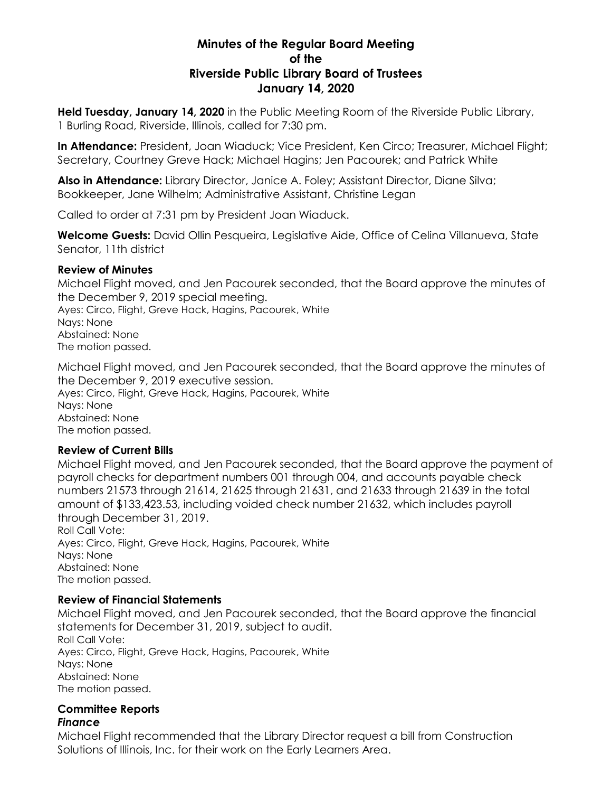# **Minutes of the Regular Board Meeting of the Riverside Public Library Board of Trustees January 14, 2020**

**Held Tuesday, January 14, 2020** in the Public Meeting Room of the Riverside Public Library, 1 Burling Road, Riverside, Illinois, called for 7:30 pm.

**In Attendance:** President, Joan Wiaduck; Vice President, Ken Circo; Treasurer, Michael Flight; Secretary, Courtney Greve Hack; Michael Hagins; Jen Pacourek; and Patrick White

**Also in Attendance:** Library Director, Janice A. Foley; Assistant Director, Diane Silva; Bookkeeper, Jane Wilhelm; Administrative Assistant, Christine Legan

Called to order at 7:31 pm by President Joan Wiaduck.

**Welcome Guests:** David Ollin Pesqueira, Legislative Aide, Office of Celina Villanueva, State Senator, 11th district

# **Review of Minutes**

Michael Flight moved, and Jen Pacourek seconded, that the Board approve the minutes of the December 9, 2019 special meeting.

Ayes: Circo, Flight, Greve Hack, Hagins, Pacourek, White Nays: None Abstained: None The motion passed.

Michael Flight moved, and Jen Pacourek seconded, that the Board approve the minutes of the December 9, 2019 executive session. Ayes: Circo, Flight, Greve Hack, Hagins, Pacourek, White Nays: None Abstained: None The motion passed.

# **Review of Current Bills**

Michael Flight moved, and Jen Pacourek seconded, that the Board approve the payment of payroll checks for department numbers 001 through 004, and accounts payable check numbers 21573 through 21614, 21625 through 21631, and 21633 through 21639 in the total amount of \$133,423.53, including voided check number 21632, which includes payroll through December 31, 2019. Roll Call Vote: Ayes: Circo, Flight, Greve Hack, Hagins, Pacourek, White Nays: None Abstained: None

The motion passed.

# **Review of Financial Statements**

Michael Flight moved, and Jen Pacourek seconded, that the Board approve the financial statements for December 31, 2019, subject to audit. Roll Call Vote: Ayes: Circo, Flight, Greve Hack, Hagins, Pacourek, White Nays: None Abstained: None The motion passed.

#### **Committee Reports** *Finance*

Michael Flight recommended that the Library Director request a bill from Construction Solutions of Illinois, Inc. for their work on the Early Learners Area.